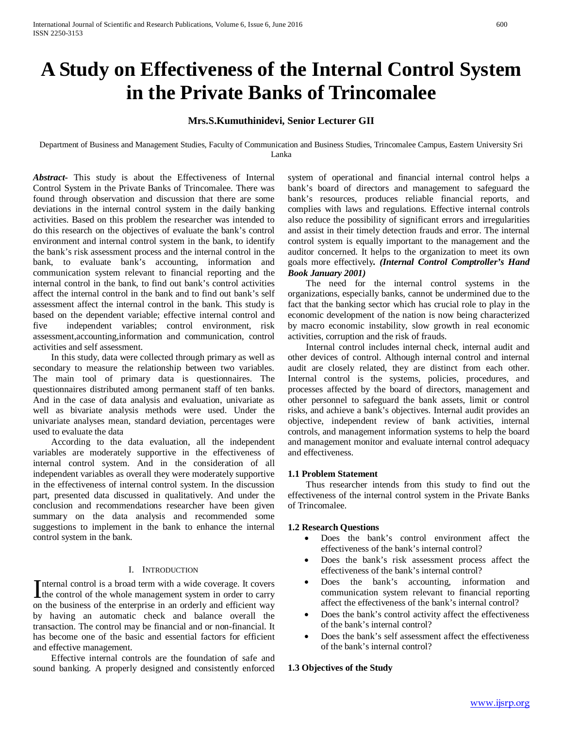# **A Study on Effectiveness of the Internal Control System in the Private Banks of Trincomalee**

# **Mrs.S.Kumuthinidevi, Senior Lecturer GII**

Department of Business and Management Studies, Faculty of Communication and Business Studies, Trincomalee Campus, Eastern University Sri Lanka

*Abstract***-** This study is about the Effectiveness of Internal Control System in the Private Banks of Trincomalee. There was found through observation and discussion that there are some deviations in the internal control system in the daily banking activities. Based on this problem the researcher was intended to do this research on the objectives of evaluate the bank's control environment and internal control system in the bank, to identify the bank's risk assessment process and the internal control in the bank, to evaluate bank's accounting, information and communication system relevant to financial reporting and the internal control in the bank, to find out bank's control activities affect the internal control in the bank and to find out bank's self assessment affect the internal control in the bank. This study is based on the dependent variable; effective internal control and five independent variables; control environment, risk assessment,accounting,information and communication, control activities and self assessment.

 In this study, data were collected through primary as well as secondary to measure the relationship between two variables. The main tool of primary data is questionnaires. The questionnaires distributed among permanent staff of ten banks. And in the case of data analysis and evaluation, univariate as well as bivariate analysis methods were used. Under the univariate analyses mean, standard deviation, percentages were used to evaluate the data

 According to the data evaluation, all the independent variables are moderately supportive in the effectiveness of internal control system. And in the consideration of all independent variables as overall they were moderately supportive in the effectiveness of internal control system. In the discussion part, presented data discussed in qualitatively. And under the conclusion and recommendations researcher have been given summary on the data analysis and recommended some suggestions to implement in the bank to enhance the internal control system in the bank.

# I. INTRODUCTION

nternal control is a broad term with a wide coverage. It covers Internal control is a broad term with a wide coverage. It covers<br>the control of the whole management system in order to carry on the business of the enterprise in an orderly and efficient way by having an automatic check and balance overall the transaction. The control may be financial and or non-financial. It has become one of the basic and essential factors for efficient and effective management.

 Effective internal controls are the foundation of safe and sound banking. A properly designed and consistently enforced system of operational and financial internal control helps a bank's board of directors and management to safeguard the bank's resources, produces reliable financial reports, and complies with laws and regulations. Effective internal controls also reduce the possibility of significant errors and irregularities and assist in their timely detection frauds and error. The internal control system is equally important to the management and the auditor concerned. It helps to the organization to meet its own goals more effectively*. (Internal Control Comptroller's Hand Book January 2001)*

 The need for the internal control systems in the organizations, especially banks, cannot be undermined due to the fact that the banking sector which has crucial role to play in the economic development of the nation is now being characterized by macro economic instability, slow growth in real economic activities, corruption and the risk of frauds.

 Internal control includes internal check, internal audit and other devices of control. Although internal control and internal audit are closely related, they are distinct from each other. Internal control is the systems, policies, procedures, and processes affected by the board of directors, management and other personnel to safeguard the bank assets, limit or control risks, and achieve a bank's objectives. Internal audit provides an objective, independent review of bank activities, internal controls, and management information systems to help the board and management monitor and evaluate internal control adequacy and effectiveness.

# **1.1 Problem Statement**

 Thus researcher intends from this study to find out the effectiveness of the internal control system in the Private Banks of Trincomalee.

#### **1.2 Research Questions**

- Does the bank's control environment affect the effectiveness of the bank's internal control?
- Does the bank's risk assessment process affect the effectiveness of the bank's internal control?
- Does the bank's accounting, information and communication system relevant to financial reporting affect the effectiveness of the bank's internal control?
- Does the bank's control activity affect the effectiveness of the bank's internal control?
- Does the bank's self assessment affect the effectiveness of the bank's internal control?

#### **1.3 Objectives of the Study**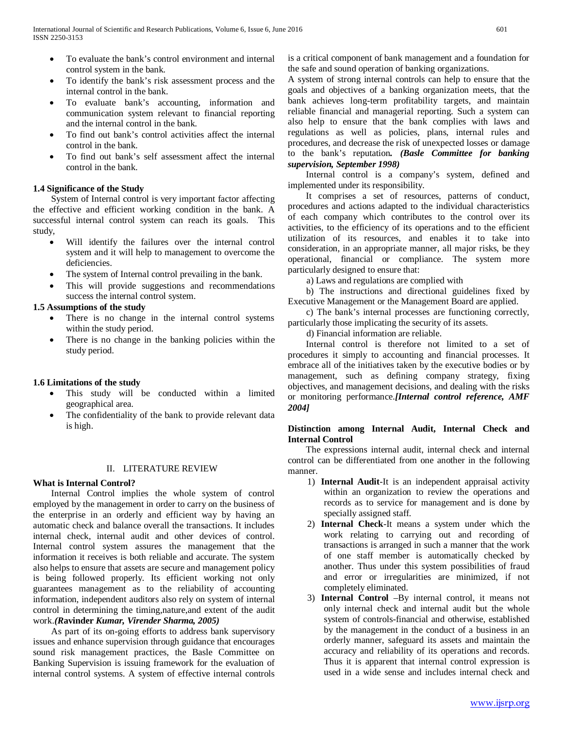- To evaluate the bank's control environment and internal control system in the bank.
- To identify the bank's risk assessment process and the internal control in the bank.
- To evaluate bank's accounting, information and communication system relevant to financial reporting and the internal control in the bank.
- To find out bank's control activities affect the internal control in the bank.
- To find out bank's self assessment affect the internal control in the bank.

# **1.4 Significance of the Study**

 System of Internal control is very important factor affecting the effective and efficient working condition in the bank. A successful internal control system can reach its goals. This study,

- Will identify the failures over the internal control system and it will help to management to overcome the deficiencies.
- The system of Internal control prevailing in the bank.
- This will provide suggestions and recommendations success the internal control system.

# **1.5 Assumptions of the study**

- There is no change in the internal control systems within the study period.
- There is no change in the banking policies within the study period.

# **1.6 Limitations of the study**

- This study will be conducted within a limited geographical area.
- The confidentiality of the bank to provide relevant data is high.

# II. LITERATURE REVIEW

# **What is Internal Control?**

 Internal Control implies the whole system of control employed by the management in order to carry on the business of the enterprise in an orderly and efficient way by having an automatic check and balance overall the transactions. It includes internal check, internal audit and other devices of control. Internal control system assures the management that the information it receives is both reliable and accurate. The system also helps to ensure that assets are secure and management policy is being followed properly. Its efficient working not only guarantees management as to the reliability of accounting information, independent auditors also rely on system of internal control in determining the timing,nature,and extent of the audit work.*(R***avinder** *Kumar, Virender Sharma, 2005)* 

 As part of its on-going efforts to address bank supervisory issues and enhance supervision through guidance that encourages sound risk management practices, the Basle Committee on Banking Supervision is issuing framework for the evaluation of internal control systems. A system of effective internal controls is a critical component of bank management and a foundation for the safe and sound operation of banking organizations.

A system of strong internal controls can help to ensure that the goals and objectives of a banking organization meets, that the bank achieves long-term profitability targets, and maintain reliable financial and managerial reporting. Such a system can also help to ensure that the bank complies with laws and regulations as well as policies, plans, internal rules and procedures, and decrease the risk of unexpected losses or damage to the bank's reputation*. (Basle Committee for banking supervision, September 1998)*

 Internal control is a company's system, defined and implemented under its responsibility.

 It comprises a set of resources, patterns of conduct, procedures and actions adapted to the individual characteristics of each company which contributes to the control over its activities, to the efficiency of its operations and to the efficient utilization of its resources, and enables it to take into consideration, in an appropriate manner, all major risks, be they operational, financial or compliance. The system more particularly designed to ensure that:

a) Laws and regulations are complied with

 b) The instructions and directional guidelines fixed by Executive Management or the Management Board are applied.

 c) The bank's internal processes are functioning correctly, particularly those implicating the security of its assets.

d) Financial information are reliable.

 Internal control is therefore not limited to a set of procedures it simply to accounting and financial processes. It embrace all of the initiatives taken by the executive bodies or by management, such as defining company strategy, fixing objectives, and management decisions, and dealing with the risks or monitoring performance.*[Internal control reference, AMF 2004]*

# **Distinction among Internal Audit, Internal Check and Internal Control**

 The expressions internal audit, internal check and internal control can be differentiated from one another in the following manner.

- 1) **Internal Audit**-It is an independent appraisal activity within an organization to review the operations and records as to service for management and is done by specially assigned staff.
- 2) **Internal Check**-It means a system under which the work relating to carrying out and recording of transactions is arranged in such a manner that the work of one staff member is automatically checked by another. Thus under this system possibilities of fraud and error or irregularities are minimized, if not completely eliminated.
- 3) **Internal Control** –By internal control, it means not only internal check and internal audit but the whole system of controls-financial and otherwise, established by the management in the conduct of a business in an orderly manner, safeguard its assets and maintain the accuracy and reliability of its operations and records. Thus it is apparent that internal control expression is used in a wide sense and includes internal check and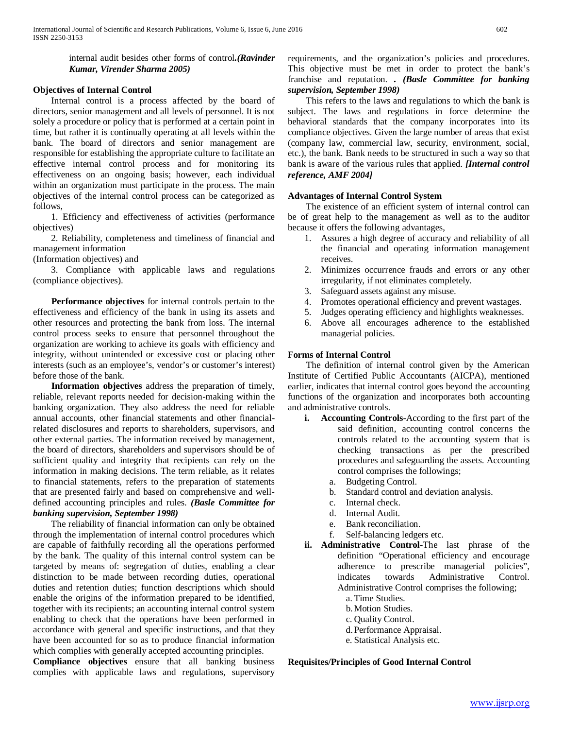internal audit besides other forms of control*.(Ravinder Kumar, Virender Sharma 2005)*

### **Objectives of Internal Control**

 Internal control is a process affected by the board of directors, senior management and all levels of personnel. It is not solely a procedure or policy that is performed at a certain point in time, but rather it is continually operating at all levels within the bank. The board of directors and senior management are responsible for establishing the appropriate culture to facilitate an effective internal control process and for monitoring its effectiveness on an ongoing basis; however, each individual within an organization must participate in the process. The main objectives of the internal control process can be categorized as follows,

 1. Efficiency and effectiveness of activities (performance objectives)

 2. Reliability, completeness and timeliness of financial and management information

(Information objectives) and

 3. Compliance with applicable laws and regulations (compliance objectives).

 **Performance objectives** for internal controls pertain to the effectiveness and efficiency of the bank in using its assets and other resources and protecting the bank from loss. The internal control process seeks to ensure that personnel throughout the organization are working to achieve its goals with efficiency and integrity, without unintended or excessive cost or placing other interests (such as an employee's, vendor's or customer's interest) before those of the bank.

 **Information objectives** address the preparation of timely, reliable, relevant reports needed for decision-making within the banking organization. They also address the need for reliable annual accounts, other financial statements and other financialrelated disclosures and reports to shareholders, supervisors, and other external parties. The information received by management, the board of directors, shareholders and supervisors should be of sufficient quality and integrity that recipients can rely on the information in making decisions. The term reliable, as it relates to financial statements, refers to the preparation of statements that are presented fairly and based on comprehensive and welldefined accounting principles and rules. *(Basle Committee for banking supervision, September 1998)*

 The reliability of financial information can only be obtained through the implementation of internal control procedures which are capable of faithfully recording all the operations performed by the bank. The quality of this internal control system can be targeted by means of: segregation of duties, enabling a clear distinction to be made between recording duties, operational duties and retention duties; function descriptions which should enable the origins of the information prepared to be identified, together with its recipients; an accounting internal control system enabling to check that the operations have been performed in accordance with general and specific instructions, and that they have been accounted for so as to produce financial information which complies with generally accepted accounting principles.

**Compliance objectives** ensure that all banking business complies with applicable laws and regulations, supervisory requirements, and the organization's policies and procedures. This objective must be met in order to protect the bank's franchise and reputation. *. (Basle Committee for banking supervision, September 1998)*

 This refers to the laws and regulations to which the bank is subject. The laws and regulations in force determine the behavioral standards that the company incorporates into its compliance objectives. Given the large number of areas that exist (company law, commercial law, security, environment, social, etc.), the bank. Bank needs to be structured in such a way so that bank is aware of the various rules that applied. *[Internal control reference, AMF 2004]*

#### **Advantages of Internal Control System**

 The existence of an efficient system of internal control can be of great help to the management as well as to the auditor because it offers the following advantages,

- 1. Assures a high degree of accuracy and reliability of all the financial and operating information management receives.
- 2. Minimizes occurrence frauds and errors or any other irregularity, if not eliminates completely.
- 3. Safeguard assets against any misuse.
- 4. Promotes operational efficiency and prevent wastages.
- 5. Judges operating efficiency and highlights weaknesses.
- 6. Above all encourages adherence to the established managerial policies.

# **Forms of Internal Control**

 The definition of internal control given by the American Institute of Certified Public Accountants (AICPA), mentioned earlier, indicates that internal control goes beyond the accounting functions of the organization and incorporates both accounting and administrative controls.

- **i. Accounting Controls**-According to the first part of the said definition, accounting control concerns the controls related to the accounting system that is checking transactions as per the prescribed procedures and safeguarding the assets. Accounting control comprises the followings;
	- a. Budgeting Control.
	- b. Standard control and deviation analysis.
	- c. Internal check.
	- d. Internal Audit.
	- e. Bank reconciliation.
	- f. Self-balancing ledgers etc.
- **ii. Administrative Control**-The last phrase of the definition "Operational efficiency and encourage adherence to prescribe managerial policies", indicates towards Administrative Control. Administrative Control comprises the following;
	- a. Time Studies.
	- b. Motion Studies.
	- c. Quality Control.
	- d.Performance Appraisal.
	- e. Statistical Analysis etc.

**Requisites/Principles of Good Internal Control**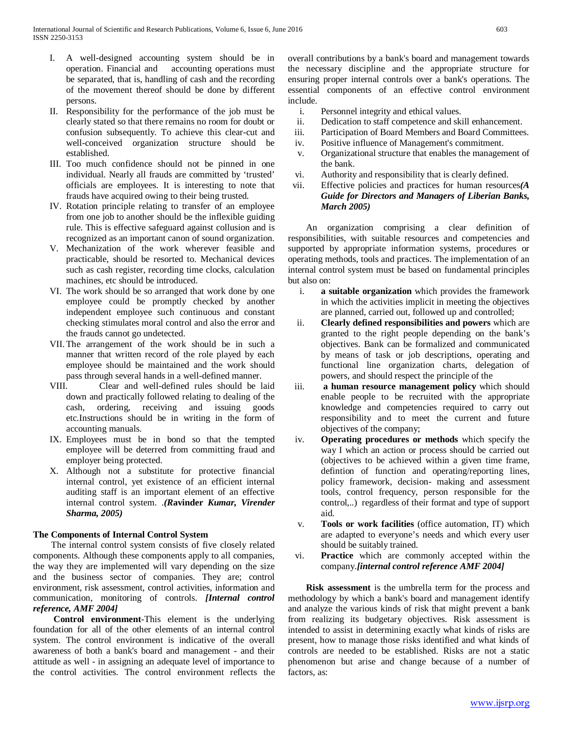- I. A well-designed accounting system should be in operation. Financial and accounting operations must be separated, that is, handling of cash and the recording of the movement thereof should be done by different persons.
- II. Responsibility for the performance of the job must be clearly stated so that there remains no room for doubt or confusion subsequently. To achieve this clear-cut and well-conceived organization structure should be established.
- III. Too much confidence should not be pinned in one individual. Nearly all frauds are committed by 'trusted' officials are employees. It is interesting to note that frauds have acquired owing to their being trusted.
- IV. Rotation principle relating to transfer of an employee from one job to another should be the inflexible guiding rule. This is effective safeguard against collusion and is recognized as an important canon of sound organization.
- V. Mechanization of the work wherever feasible and practicable, should be resorted to. Mechanical devices such as cash register, recording time clocks, calculation machines, etc should be introduced.
- VI. The work should be so arranged that work done by one employee could be promptly checked by another independent employee such continuous and constant checking stimulates moral control and also the error and the frauds cannot go undetected.
- VII. The arrangement of the work should be in such a manner that written record of the role played by each employee should be maintained and the work should pass through several hands in a well-defined manner.
- VIII. Clear and well-defined rules should be laid down and practically followed relating to dealing of the cash, ordering, receiving and issuing goods etc.Instructions should be in writing in the form of accounting manuals.
- IX. Employees must be in bond so that the tempted employee will be deterred from committing fraud and employer being protected.
- X. Although not a substitute for protective financial internal control, yet existence of an efficient internal auditing staff is an important element of an effective internal control system. .*(R***avinder** *Kumar, Virender Sharma, 2005)*

# **The Components of Internal Control System**

 The internal control system consists of five closely related components. Although these components apply to all companies, the way they are implemented will vary depending on the size and the business sector of companies. They are; control environment, risk assessment, control activities, information and communication, monitoring of controls. *[Internal control reference, AMF 2004]*

 **Control environment**-This element is the underlying foundation for all of the other elements of an internal control system. The control environment is indicative of the overall awareness of both a bank's board and management - and their attitude as well - in assigning an adequate level of importance to the control activities. The control environment reflects the overall contributions by a bank's board and management towards the necessary discipline and the appropriate structure for ensuring proper internal controls over a bank's operations. The essential components of an effective control environment include.

- i. Personnel integrity and ethical values.
- ii. Dedication to staff competence and skill enhancement.
- iii. Participation of Board Members and Board Committees.
- iv. Positive influence of Management's commitment.
- v. Organizational structure that enables the management of the bank.
- vi. Authority and responsibility that is clearly defined.
- vii. Effective policies and practices for human resources*(A Guide for Directors and Managers of Liberian Banks, March 2005)*

 An organization comprising a clear definition of responsibilities, with suitable resources and competencies and supported by appropriate information systems, procedures or operating methods, tools and practices. The implementation of an internal control system must be based on fundamental principles but also on:

- i. **a suitable organization** which provides the framework in which the activities implicit in meeting the objectives are planned, carried out, followed up and controlled;
- ii. **Clearly defined responsibilities and powers** which are granted to the right people depending on the bank's objectives. Bank can be formalized and communicated by means of task or job descriptions, operating and functional line organization charts, delegation of powers, and should respect the principle of the
- iii. **a human resource management policy** which should enable people to be recruited with the appropriate knowledge and competencies required to carry out responsibility and to meet the current and future objectives of the company;
- iv. **Operating procedures or methods** which specify the way I which an action or process should be carried out (objectives to be achieved within a given time frame, defintion of function and operating/reporting lines, policy framework, decision- making and assessment tools, control frequency, person responsible for the control,..) regardless of their format and type of support aid.
- v. **Tools or work facilities** (office automation, IT) which are adapted to everyone's needs and which every user should be suitably trained.
- vi. **Practice** which are commonly accepted within the company.*[internal control reference AMF 2004]*

 **Risk assessment** is the umbrella term for the process and methodology by which a bank's board and management identify and analyze the various kinds of risk that might prevent a bank from realizing its budgetary objectives. Risk assessment is intended to assist in determining exactly what kinds of risks are present, how to manage those risks identified and what kinds of controls are needed to be established. Risks are not a static phenomenon but arise and change because of a number of factors, as: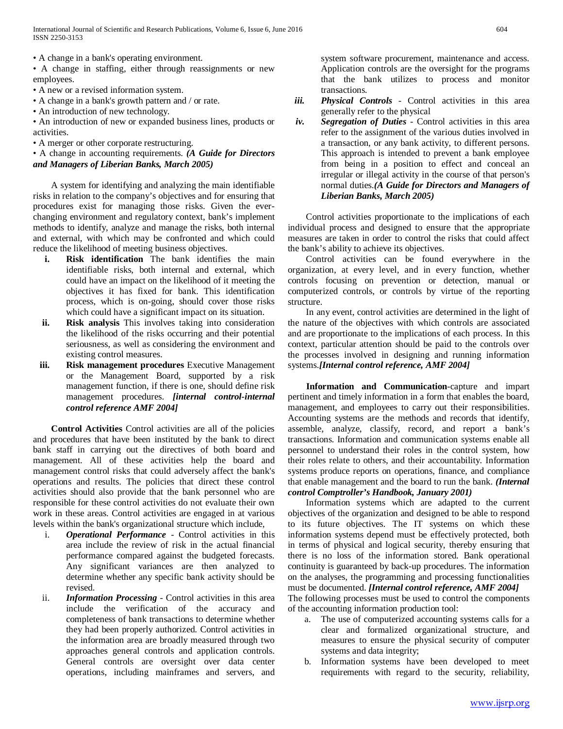International Journal of Scientific and Research Publications, Volume 6, Issue 6, June 2016 604 ISSN 2250-3153

• A change in a bank's operating environment.

• A change in staffing, either through reassignments or new employees.

• A new or a revised information system.

• A change in a bank's growth pattern and / or rate.

• An introduction of new technology.

• An introduction of new or expanded business lines, products or activities.

• A merger or other corporate restructuring.

• A change in accounting requirements. *(A Guide for Directors and Managers of Liberian Banks, March 2005)*

 A system for identifying and analyzing the main identifiable risks in relation to the company's objectives and for ensuring that procedures exist for managing those risks. Given the everchanging environment and regulatory context, bank's implement methods to identify, analyze and manage the risks, both internal and external, with which may be confronted and which could reduce the likelihood of meeting business objectives.

- **i.** Risk identification The bank identifies the main identifiable risks, both internal and external, which could have an impact on the likelihood of it meeting the objectives it has fixed for bank. This identification process, which is on-going, should cover those risks which could have a significant impact on its situation.
- **ii. Risk analysis** This involves taking into consideration the likelihood of the risks occurring and their potential seriousness, as well as considering the environment and existing control measures.
- **iii. Risk management procedures** Executive Management or the Management Board, supported by a risk management function, if there is one, should define risk management procedures. *[internal control-internal control reference AMF 2004]*

 **Control Activities** Control activities are all of the policies and procedures that have been instituted by the bank to direct bank staff in carrying out the directives of both board and management. All of these activities help the board and management control risks that could adversely affect the bank's operations and results. The policies that direct these control activities should also provide that the bank personnel who are responsible for these control activities do not evaluate their own work in these areas. Control activities are engaged in at various levels within the bank's organizational structure which include,

- i. *Operational Performance*  Control activities in this area include the review of risk in the actual financial performance compared against the budgeted forecasts. Any significant variances are then analyzed to determine whether any specific bank activity should be revised.
- ii. *Information Processing*  Control activities in this area include the verification of the accuracy and completeness of bank transactions to determine whether they had been properly authorized. Control activities in the information area are broadly measured through two approaches general controls and application controls. General controls are oversight over data center operations, including mainframes and servers, and

system software procurement, maintenance and access. Application controls are the oversight for the programs that the bank utilizes to process and monitor transactions.

- *iii. Physical Controls*  Control activities in this area generally refer to the physical
- *iv. Segregation of Duties*  Control activities in this area refer to the assignment of the various duties involved in a transaction, or any bank activity, to different persons. This approach is intended to prevent a bank employee from being in a position to effect and conceal an irregular or illegal activity in the course of that person's normal duties.*(A Guide for Directors and Managers of Liberian Banks, March 2005)*

 Control activities proportionate to the implications of each individual process and designed to ensure that the appropriate measures are taken in order to control the risks that could affect the bank's ability to achieve its objectives.

 Control activities can be found everywhere in the organization, at every level, and in every function, whether controls focusing on prevention or detection, manual or computerized controls, or controls by virtue of the reporting structure.

 In any event, control activities are determined in the light of the nature of the objectives with which controls are associated and are proportionate to the implications of each process. In this context, particular attention should be paid to the controls over the processes involved in designing and running information systems.*[Internal control reference, AMF 2004]*

 **Information and Communication**-capture and impart pertinent and timely information in a form that enables the board, management, and employees to carry out their responsibilities. Accounting systems are the methods and records that identify, assemble, analyze, classify, record, and report a bank's transactions. Information and communication systems enable all personnel to understand their roles in the control system, how their roles relate to others, and their accountability. Information systems produce reports on operations, finance, and compliance that enable management and the board to run the bank. *(Internal control Comptroller's Handbook, January 2001)*

 Information systems which are adapted to the current objectives of the organization and designed to be able to respond to its future objectives. The IT systems on which these information systems depend must be effectively protected, both in terms of physical and logical security, thereby ensuring that there is no loss of the information stored. Bank operational continuity is guaranteed by back-up procedures. The information on the analyses, the programming and processing functionalities must be documented. *[Internal control reference, AMF 2004]*

The following processes must be used to control the components of the accounting information production tool:

- a. The use of computerized accounting systems calls for a clear and formalized organizational structure, and measures to ensure the physical security of computer systems and data integrity;
- b. Information systems have been developed to meet requirements with regard to the security, reliability,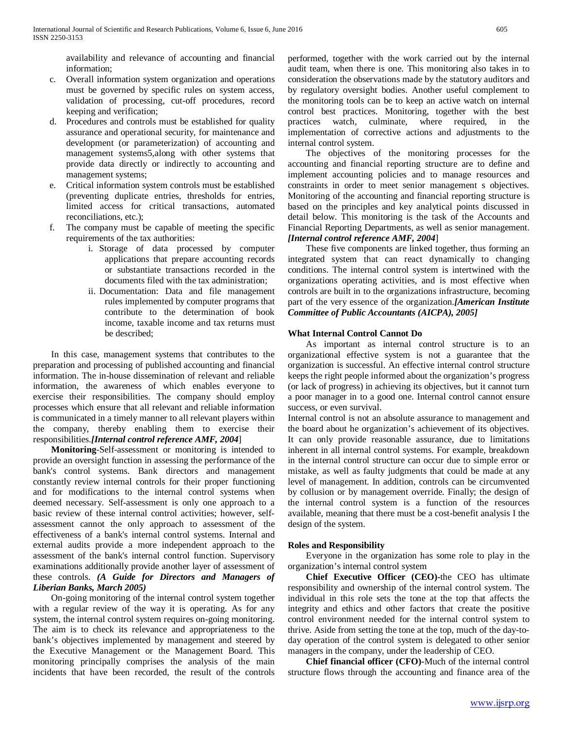availability and relevance of accounting and financial information;

- c. Overall information system organization and operations must be governed by specific rules on system access, validation of processing, cut-off procedures, record keeping and verification;
- d. Procedures and controls must be established for quality assurance and operational security, for maintenance and development (or parameterization) of accounting and management systems5,along with other systems that provide data directly or indirectly to accounting and management systems;
- e. Critical information system controls must be established (preventing duplicate entries, thresholds for entries, limited access for critical transactions, automated reconciliations, etc.);
- f. The company must be capable of meeting the specific requirements of the tax authorities:
	- i. Storage of data processed by computer applications that prepare accounting records or substantiate transactions recorded in the documents filed with the tax administration;
	- ii. Documentation: Data and file management rules implemented by computer programs that contribute to the determination of book income, taxable income and tax returns must be described;

 In this case, management systems that contributes to the preparation and processing of published accounting and financial information. The in-house dissemination of relevant and reliable information, the awareness of which enables everyone to exercise their responsibilities. The company should employ processes which ensure that all relevant and reliable information is communicated in a timely manner to all relevant players within the company, thereby enabling them to exercise their responsibilities.*[Internal control reference AMF, 2004*]

 **Monitoring**-Self-assessment or monitoring is intended to provide an oversight function in assessing the performance of the bank's control systems. Bank directors and management constantly review internal controls for their proper functioning and for modifications to the internal control systems when deemed necessary. Self-assessment is only one approach to a basic review of these internal control activities; however, selfassessment cannot the only approach to assessment of the effectiveness of a bank's internal control systems. Internal and external audits provide a more independent approach to the assessment of the bank's internal control function. Supervisory examinations additionally provide another layer of assessment of these controls. *(A Guide for Directors and Managers of Liberian Banks, March 2005)*

 On-going monitoring of the internal control system together with a regular review of the way it is operating. As for any system, the internal control system requires on-going monitoring. The aim is to check its relevance and appropriateness to the bank's objectives implemented by management and steered by the Executive Management or the Management Board. This monitoring principally comprises the analysis of the main incidents that have been recorded, the result of the controls performed, together with the work carried out by the internal audit team, when there is one. This monitoring also takes in to consideration the observations made by the statutory auditors and by regulatory oversight bodies. Another useful complement to the monitoring tools can be to keep an active watch on internal control best practices. Monitoring, together with the best practices watch, culminate, where required, in the implementation of corrective actions and adjustments to the internal control system.

 The objectives of the monitoring processes for the accounting and financial reporting structure are to define and implement accounting policies and to manage resources and constraints in order to meet senior management s objectives. Monitoring of the accounting and financial reporting structure is based on the principles and key analytical points discussed in detail below. This monitoring is the task of the Accounts and Financial Reporting Departments, as well as senior management.

# *[Internal control reference AMF, 2004*]

 These five components are linked together, thus forming an integrated system that can react dynamically to changing conditions. The internal control system is intertwined with the organizations operating activities, and is most effective when controls are built in to the organizations infrastructure, becoming part of the very essence of the organization.*[American Institute Committee of Public Accountants (AICPA), 2005]*

# **What Internal Control Cannot Do**

 As important as internal control structure is to an organizational effective system is not a guarantee that the organization is successful. An effective internal control structure keeps the right people informed about the organization's progress (or lack of progress) in achieving its objectives, but it cannot turn a poor manager in to a good one. Internal control cannot ensure success, or even survival.

Internal control is not an absolute assurance to management and the board about he organization's achievement of its objectives. It can only provide reasonable assurance, due to limitations inherent in all internal control systems. For example, breakdown in the internal control structure can occur due to simple error or mistake, as well as faulty judgments that could be made at any level of management. In addition, controls can be circumvented by collusion or by management override. Finally; the design of the internal control system is a function of the resources available, meaning that there must be a cost-benefit analysis I the design of the system.

# **Roles and Responsibility**

 Everyone in the organization has some role to play in the organization's internal control system

 **Chief Executive Officer (CEO)-**the CEO has ultimate responsibility and ownership of the internal control system. The individual in this role sets the tone at the top that affects the integrity and ethics and other factors that create the positive control environment needed for the internal control system to thrive. Aside from setting the tone at the top, much of the day-today operation of the control system is delegated to other senior managers in the company, under the leadership of CEO.

 **Chief financial officer (CFO)-**Much of the internal control structure flows through the accounting and finance area of the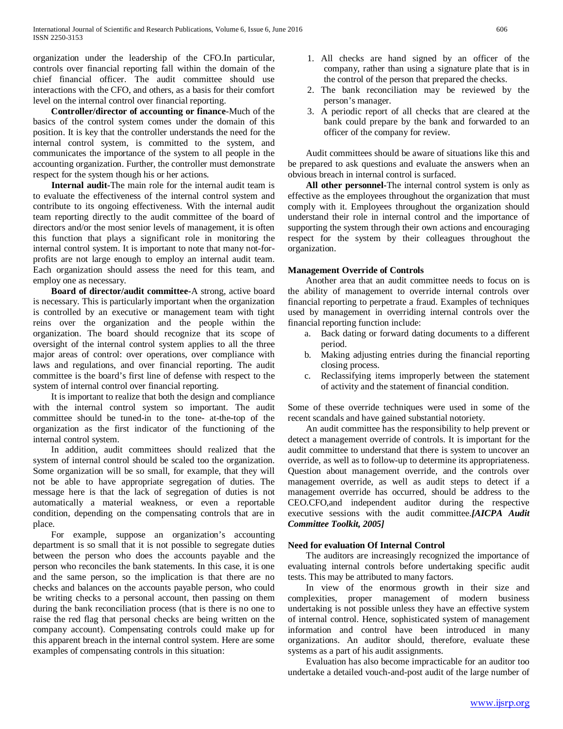organization under the leadership of the CFO.In particular, controls over financial reporting fall within the domain of the chief financial officer. The audit committee should use interactions with the CFO, and others, as a basis for their comfort level on the internal control over financial reporting.

 **Controller/director of accounting or finance**-Much of the basics of the control system comes under the domain of this position. It is key that the controller understands the need for the internal control system, is committed to the system, and communicates the importance of the system to all people in the accounting organization. Further, the controller must demonstrate respect for the system though his or her actions.

 **Internal audit-**The main role for the internal audit team is to evaluate the effectiveness of the internal control system and contribute to its ongoing effectiveness. With the internal audit team reporting directly to the audit committee of the board of directors and/or the most senior levels of management, it is often this function that plays a significant role in monitoring the internal control system. It is important to note that many not-forprofits are not large enough to employ an internal audit team. Each organization should assess the need for this team, and employ one as necessary.

 **Board of director/audit committee-**A strong, active board is necessary. This is particularly important when the organization is controlled by an executive or management team with tight reins over the organization and the people within the organization. The board should recognize that its scope of oversight of the internal control system applies to all the three major areas of control: over operations, over compliance with laws and regulations, and over financial reporting. The audit committee is the board's first line of defense with respect to the system of internal control over financial reporting.

 It is important to realize that both the design and compliance with the internal control system so important. The audit committee should be tuned-in to the tone- at-the-top of the organization as the first indicator of the functioning of the internal control system.

 In addition, audit committees should realized that the system of internal control should be scaled too the organization. Some organization will be so small, for example, that they will not be able to have appropriate segregation of duties. The message here is that the lack of segregation of duties is not automatically a material weakness, or even a reportable condition, depending on the compensating controls that are in place.

 For example, suppose an organization's accounting department is so small that it is not possible to segregate duties between the person who does the accounts payable and the person who reconciles the bank statements. In this case, it is one and the same person, so the implication is that there are no checks and balances on the accounts payable person, who could be writing checks to a personal account, then passing on them during the bank reconciliation process (that is there is no one to raise the red flag that personal checks are being written on the company account). Compensating controls could make up for this apparent breach in the internal control system. Here are some examples of compensating controls in this situation:

- 1. All checks are hand signed by an officer of the company, rather than using a signature plate that is in the control of the person that prepared the checks.
- 2. The bank reconciliation may be reviewed by the person's manager.
- 3. A periodic report of all checks that are cleared at the bank could prepare by the bank and forwarded to an officer of the company for review.

 Audit committees should be aware of situations like this and be prepared to ask questions and evaluate the answers when an obvious breach in internal control is surfaced.

 **All other personnel-**The internal control system is only as effective as the employees throughout the organization that must comply with it. Employees throughout the organization should understand their role in internal control and the importance of supporting the system through their own actions and encouraging respect for the system by their colleagues throughout the organization.

# **Management Override of Controls**

 Another area that an audit committee needs to focus on is the ability of management to override internal controls over financial reporting to perpetrate a fraud. Examples of techniques used by management in overriding internal controls over the financial reporting function include:

- a. Back dating or forward dating documents to a different period.
- b. Making adjusting entries during the financial reporting closing process.
- c. Reclassifying items improperly between the statement of activity and the statement of financial condition.

Some of these override techniques were used in some of the recent scandals and have gained substantial notoriety.

 An audit committee has the responsibility to help prevent or detect a management override of controls. It is important for the audit committee to understand that there is system to uncover an override, as well as to follow-up to determine its appropriateness. Question about management override, and the controls over management override, as well as audit steps to detect if a management override has occurred, should be address to the CEO.CFO,and independent auditor during the respective executive sessions with the audit committee.*[AICPA Audit Committee Toolkit, 2005]*

#### **Need for evaluation Of Internal Control**

 The auditors are increasingly recognized the importance of evaluating internal controls before undertaking specific audit tests. This may be attributed to many factors.

 In view of the enormous growth in their size and complexities, proper management of modern business undertaking is not possible unless they have an effective system of internal control. Hence, sophisticated system of management information and control have been introduced in many organizations. An auditor should, therefore, evaluate these systems as a part of his audit assignments.

 Evaluation has also become impracticable for an auditor too undertake a detailed vouch-and-post audit of the large number of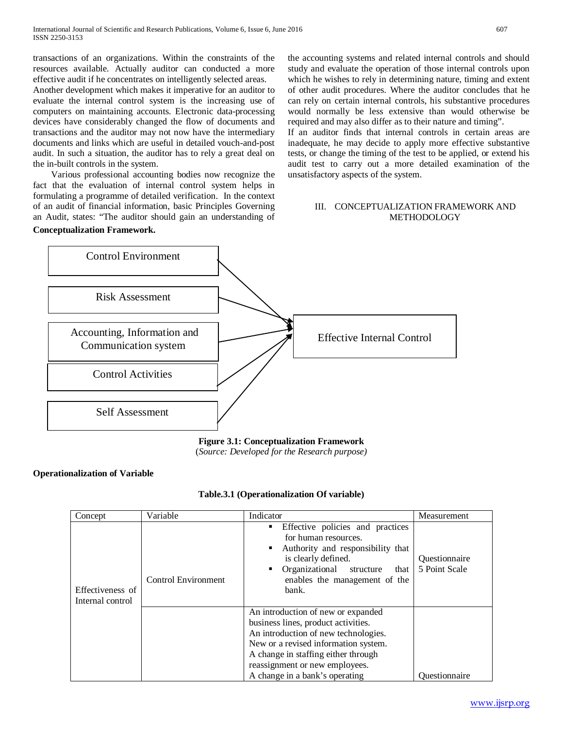transactions of an organizations. Within the constraints of the resources available. Actually auditor can conducted a more effective audit if he concentrates on intelligently selected areas.

Another development which makes it imperative for an auditor to evaluate the internal control system is the increasing use of computers on maintaining accounts. Electronic data-processing devices have considerably changed the flow of documents and transactions and the auditor may not now have the intermediary documents and links which are useful in detailed vouch-and-post audit. In such a situation, the auditor has to rely a great deal on the in-built controls in the system.

 Various professional accounting bodies now recognize the fact that the evaluation of internal control system helps in formulating a programme of detailed verification. In the context of an audit of financial information, basic Principles Governing an Audit, states: "The auditor should gain an understanding of **Conceptualization Framework.**

the accounting systems and related internal controls and should study and evaluate the operation of those internal controls upon which he wishes to rely in determining nature, timing and extent of other audit procedures. Where the auditor concludes that he can rely on certain internal controls, his substantive procedures would normally be less extensive than would otherwise be required and may also differ as to their nature and timing".

If an auditor finds that internal controls in certain areas are inadequate, he may decide to apply more effective substantive tests, or change the timing of the test to be applied, or extend his audit test to carry out a more detailed examination of the unsatisfactory aspects of the system.

# III. CONCEPTUALIZATION FRAMEWORK AND **METHODOLOGY**



# **Figure 3.1: Conceptualization Framework**

(*Source: Developed for the Research purpose)*

# **Operationalization of Variable**

| Table.3.1 (Operationalization Of variable) |
|--------------------------------------------|
|                                            |

| Concept                              | Variable                   | Indicator                                                                                                                                                                                                                                                            | Measurement                    |
|--------------------------------------|----------------------------|----------------------------------------------------------------------------------------------------------------------------------------------------------------------------------------------------------------------------------------------------------------------|--------------------------------|
| Effectiveness of<br>Internal control | <b>Control Environment</b> | Effective policies and practices<br>٠<br>for human resources.<br>Authority and responsibility that<br>is clearly defined.<br>Organizational<br>structure<br>٠<br>that<br>enables the management of the<br>bank.                                                      | Questionnaire<br>5 Point Scale |
|                                      |                            | An introduction of new or expanded<br>business lines, product activities.<br>An introduction of new technologies.<br>New or a revised information system.<br>A change in staffing either through<br>reassignment or new employees.<br>A change in a bank's operating | Ouestionnaire                  |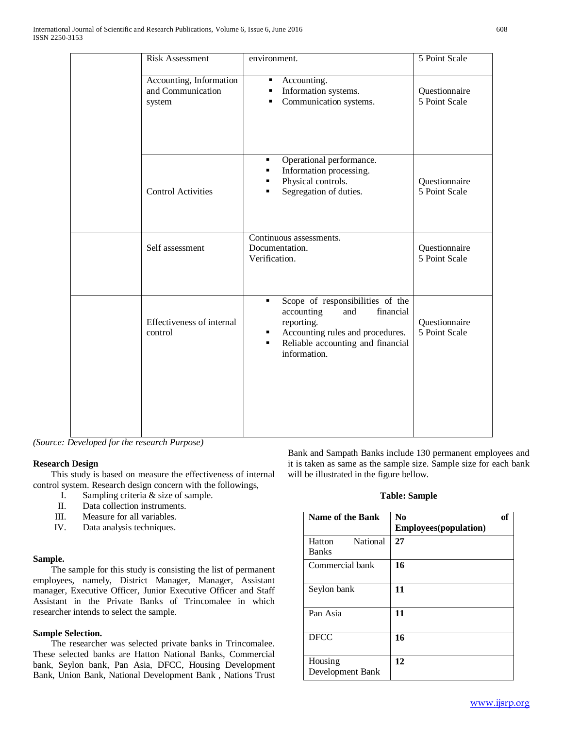| <b>Risk Assessment</b>                                 | environment.                                                                                                                                                                                          | 5 Point Scale                  |
|--------------------------------------------------------|-------------------------------------------------------------------------------------------------------------------------------------------------------------------------------------------------------|--------------------------------|
| Accounting, Information<br>and Communication<br>system | Accounting.<br>$\blacksquare$<br>Information systems.<br>٠<br>Communication systems.<br>$\blacksquare$                                                                                                | Questionnaire<br>5 Point Scale |
| <b>Control Activities</b>                              | Operational performance.<br>٠<br>Information processing.<br>٠<br>Physical controls.<br>٠<br>Segregation of duties.<br>٠                                                                               | Questionnaire<br>5 Point Scale |
| Self assessment                                        | Continuous assessments.<br>Documentation.<br>Verification.                                                                                                                                            | Questionnaire<br>5 Point Scale |
| Effectiveness of internal<br>control                   | Scope of responsibilities of the<br>٠<br>financial<br>accounting<br>and<br>reporting.<br>Accounting rules and procedures.<br>٠<br>Reliable accounting and financial<br>$\blacksquare$<br>information. | Questionnaire<br>5 Point Scale |
|                                                        |                                                                                                                                                                                                       |                                |

*(Source: Developed for the research Purpose)*

# **Research Design**

 This study is based on measure the effectiveness of internal control system. Research design concern with the followings,

- I. Sampling criteria & size of sample.<br>II. Data collection instruments.
- Data collection instruments.
- III. Measure for all variables.
- IV. Data analysis techniques.

#### **Sample.**

 The sample for this study is consisting the list of permanent employees, namely, District Manager, Manager, Assistant manager, Executive Officer, Junior Executive Officer and Staff Assistant in the Private Banks of Trincomalee in which researcher intends to select the sample.

#### **Sample Selection.**

 The researcher was selected private banks in Trincomalee. These selected banks are Hatton National Banks, Commercial bank, Seylon bank, Pan Asia, DFCC, Housing Development Bank, Union Bank, National Development Bank , Nations Trust Bank and Sampath Banks include 130 permanent employees and it is taken as same as the sample size. Sample size for each bank will be illustrated in the figure bellow.

# **Table: Sample**

| Name of the Bank                   | N <sub>0</sub><br>of<br><b>Employees</b> (population) |
|------------------------------------|-------------------------------------------------------|
| National<br>Hatton<br><b>Banks</b> | 27                                                    |
| Commercial bank                    | 16                                                    |
| Seylon bank                        | 11                                                    |
| Pan Asia                           | 11                                                    |
| <b>DFCC</b>                        | 16                                                    |
| Housing<br>Development Bank        | 12                                                    |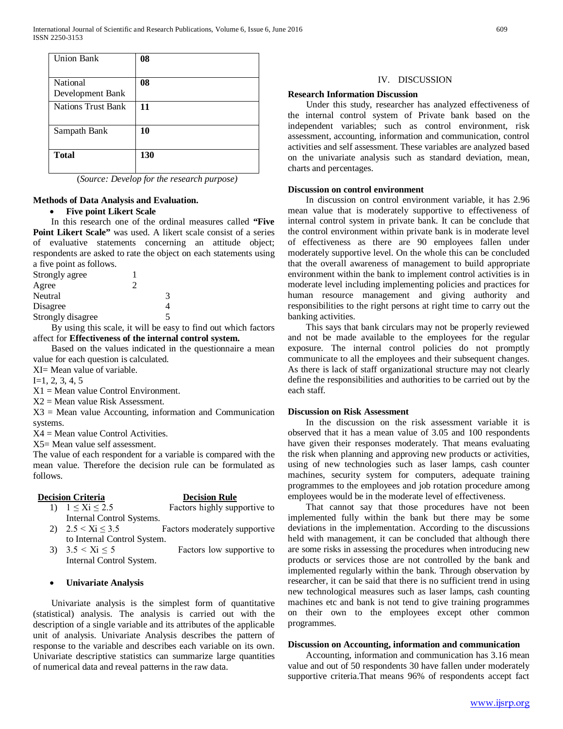| <b>Union Bank</b>            | 08  |
|------------------------------|-----|
| National<br>Development Bank | 08  |
| <b>Nations Trust Bank</b>    | 11  |
| Sampath Bank                 | 10  |
| <b>Total</b>                 | 130 |

(*Source: Develop for the research purpose)*

# **Methods of Data Analysis and Evaluation.**

# • **Five point Likert Scale**

 In this research one of the ordinal measures called **"Five Point Likert Scale"** was used. A likert scale consist of a series of evaluative statements concerning an attitude object; respondents are asked to rate the object on each statements using a five point as follows.

| Strongly agree    |   |   |
|-------------------|---|---|
| Agree             | ာ |   |
| Neutral           |   | 3 |
| Disagree          |   |   |
| Strongly disagree |   | 5 |
|                   |   |   |

 By using this scale, it will be easy to find out which factors affect for **Effectiveness of the internal control system.** 

 Based on the values indicated in the questionnaire a mean value for each question is calculated.

XI= Mean value of variable.

 $I=1, 2, 3, 4, 5$ 

 $X1 = Mean$  value Control Environment.

 $X2$  = Mean value Risk Assessment.

 $X3$  = Mean value Accounting, information and Communication systems.

 $X4 =$  Mean value Control Activities.

X5= Mean value self assessment.

The value of each respondent for a variable is compared with the mean value. Therefore the decision rule can be formulated as follows.

# **Decision Criteria Decision Rule**

- 1)  $1 \leq Xi \leq 2.5$  Factors highly supportive to Internal Control Systems.
- 2)  $2.5 < Xi \leq 3.5$  Factors moderately supportive to Internal Control System.
- 3)  $3.5 < Xi \le 5$  Factors low supportive to Internal Control System.

# • **Univariate Analysis**

 Univariate analysis is the simplest form of quantitative (statistical) analysis. The analysis is carried out with the description of a single variable and its attributes of the applicable unit of analysis. Univariate Analysis describes the pattern of response to the variable and describes each variable on its own. Univariate descriptive statistics can summarize large quantities of numerical data and reveal patterns in the raw data.

### IV. DISCUSSION

#### **Research Information Discussion**

 Under this study, researcher has analyzed effectiveness of the internal control system of Private bank based on the independent variables; such as control environment, risk assessment, accounting, information and communication, control activities and self assessment. These variables are analyzed based on the univariate analysis such as standard deviation, mean, charts and percentages.

#### **Discussion on control environment**

 In discussion on control environment variable, it has 2.96 mean value that is moderately supportive to effectiveness of internal control system in private bank. It can be conclude that the control environment within private bank is in moderate level of effectiveness as there are 90 employees fallen under moderately supportive level. On the whole this can be concluded that the overall awareness of management to build appropriate environment within the bank to implement control activities is in moderate level including implementing policies and practices for human resource management and giving authority and responsibilities to the right persons at right time to carry out the banking activities.

 This says that bank circulars may not be properly reviewed and not be made available to the employees for the regular exposure. The internal control policies do not promptly communicate to all the employees and their subsequent changes. As there is lack of staff organizational structure may not clearly define the responsibilities and authorities to be carried out by the each staff.

# **Discussion on Risk Assessment**

 In the discussion on the risk assessment variable it is observed that it has a mean value of 3.05 and 100 respondents have given their responses moderately. That means evaluating the risk when planning and approving new products or activities, using of new technologies such as laser lamps, cash counter machines, security system for computers, adequate training programmes to the employees and job rotation procedure among employees would be in the moderate level of effectiveness.

 That cannot say that those procedures have not been implemented fully within the bank but there may be some deviations in the implementation. According to the discussions held with management, it can be concluded that although there are some risks in assessing the procedures when introducing new products or services those are not controlled by the bank and implemented regularly within the bank. Through observation by researcher, it can be said that there is no sufficient trend in using new technological measures such as laser lamps, cash counting machines etc and bank is not tend to give training programmes on their own to the employees except other common programmes.

#### **Discussion on Accounting, information and communication**

 Accounting, information and communication has 3.16 mean value and out of 50 respondents 30 have fallen under moderately supportive criteria.That means 96% of respondents accept fact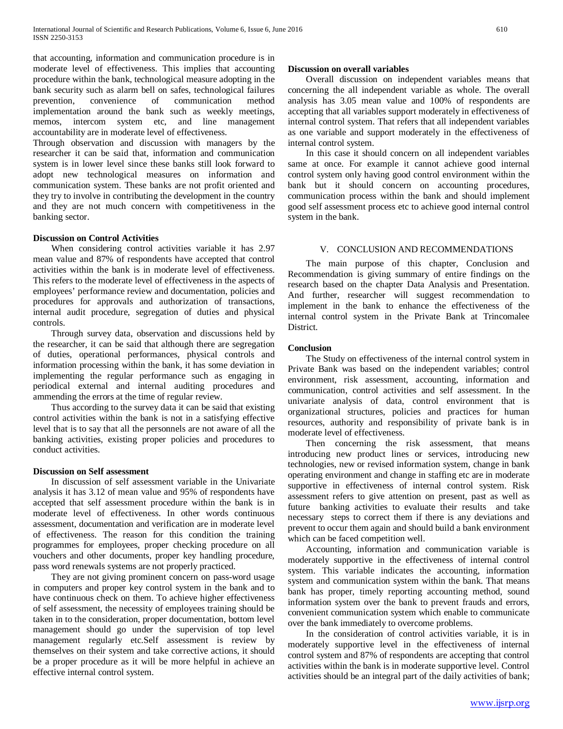that accounting, information and communication procedure is in moderate level of effectiveness. This implies that accounting procedure within the bank, technological measure adopting in the bank security such as alarm bell on safes, technological failures prevention, convenience of communication method implementation around the bank such as weekly meetings, memos, intercom system etc, and line management accountability are in moderate level of effectiveness.

Through observation and discussion with managers by the researcher it can be said that, information and communication system is in lower level since these banks still look forward to adopt new technological measures on information and communication system. These banks are not profit oriented and they try to involve in contributing the development in the country and they are not much concern with competitiveness in the banking sector.

### **Discussion on Control Activities**

 When considering control activities variable it has 2.97 mean value and 87% of respondents have accepted that control activities within the bank is in moderate level of effectiveness. This refers to the moderate level of effectiveness in the aspects of employees' performance review and documentation, policies and procedures for approvals and authorization of transactions, internal audit procedure, segregation of duties and physical controls.

 Through survey data, observation and discussions held by the researcher, it can be said that although there are segregation of duties, operational performances, physical controls and information processing within the bank, it has some deviation in implementing the regular performance such as engaging in periodical external and internal auditing procedures and ammending the errors at the time of regular review.

 Thus according to the survey data it can be said that existing control activities within the bank is not in a satisfying effective level that is to say that all the personnels are not aware of all the banking activities, existing proper policies and procedures to conduct activities.

#### **Discussion on Self assessment**

 In discussion of self assessment variable in the Univariate analysis it has 3.12 of mean value and 95% of respondents have accepted that self assessment procedure within the bank is in moderate level of effectiveness. In other words continuous assessment, documentation and verification are in moderate level of effectiveness. The reason for this condition the training programmes for employees, proper checking procedure on all vouchers and other documents, proper key handling procedure, pass word renewals systems are not properly practiced.

 They are not giving prominent concern on pass-word usage in computers and proper key control system in the bank and to have continuous check on them. To achieve higher effectiveness of self assessment, the necessity of employees training should be taken in to the consideration, proper documentation, bottom level management should go under the supervision of top level management regularly etc.Self assessment is review by themselves on their system and take corrective actions, it should be a proper procedure as it will be more helpful in achieve an effective internal control system.

### **Discussion on overall variables**

 Overall discussion on independent variables means that concerning the all independent variable as whole. The overall analysis has 3.05 mean value and 100% of respondents are accepting that all variables support moderately in effectiveness of internal control system. That refers that all independent variables as one variable and support moderately in the effectiveness of internal control system.

 In this case it should concern on all independent variables same at once. For example it cannot achieve good internal control system only having good control environment within the bank but it should concern on accounting procedures, communication process within the bank and should implement good self assessment process etc to achieve good internal control system in the bank.

# V. CONCLUSION AND RECOMMENDATIONS

 The main purpose of this chapter, Conclusion and Recommendation is giving summary of entire findings on the research based on the chapter Data Analysis and Presentation. And further, researcher will suggest recommendation to implement in the bank to enhance the effectiveness of the internal control system in the Private Bank at Trincomalee District.

# **Conclusion**

 The Study on effectiveness of the internal control system in Private Bank was based on the independent variables; control environment, risk assessment, accounting, information and communication, control activities and self assessment. In the univariate analysis of data, control environment that is organizational structures, policies and practices for human resources, authority and responsibility of private bank is in moderate level of effectiveness.

 Then concerning the risk assessment, that means introducing new product lines or services, introducing new technologies, new or revised information system, change in bank operating environment and change in staffing etc are in moderate supportive in effectiveness of internal control system. Risk assessment refers to give attention on present, past as well as future banking activities to evaluate their results and take necessary steps to correct them if there is any deviations and prevent to occur them again and should build a bank environment which can be faced competition well.

 Accounting, information and communication variable is moderately supportive in the effectiveness of internal control system. This variable indicates the accounting, information system and communication system within the bank. That means bank has proper, timely reporting accounting method, sound information system over the bank to prevent frauds and errors, convenient communication system which enable to communicate over the bank immediately to overcome problems.

 In the consideration of control activities variable, it is in moderately supportive level in the effectiveness of internal control system and 87% of respondents are accepting that control activities within the bank is in moderate supportive level. Control activities should be an integral part of the daily activities of bank;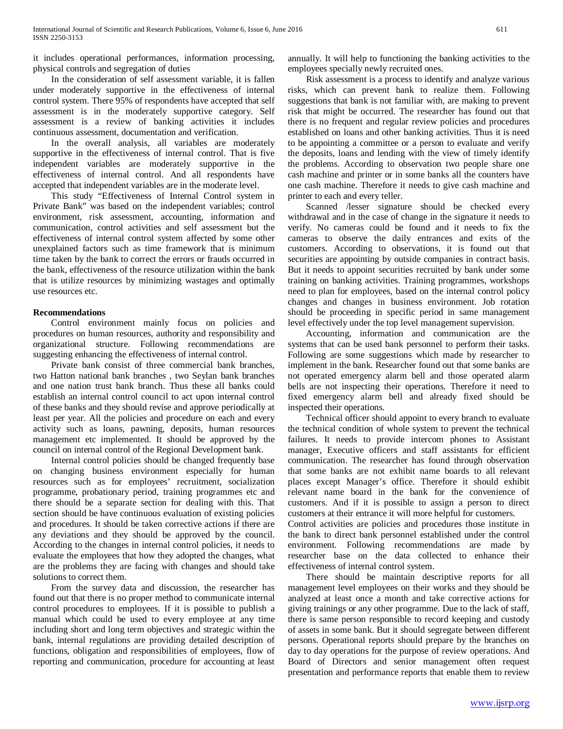it includes operational performances, information processing, physical controls and segregation of duties

 In the consideration of self assessment variable, it is fallen under moderately supportive in the effectiveness of internal control system. There 95% of respondents have accepted that self assessment is in the moderately supportive category. Self assessment is a review of banking activities it includes continuous assessment, documentation and verification.

 In the overall analysis, all variables are moderately supportive in the effectiveness of internal control. That is five independent variables are moderately supportive in the effectiveness of internal control. And all respondents have accepted that independent variables are in the moderate level.

 This study "Effectiveness of Internal Control system in Private Bank" was based on the independent variables; control environment, risk assessment, accounting, information and communication, control activities and self assessment but the effectiveness of internal control system affected by some other unexplained factors such as time framework that is minimum time taken by the bank to correct the errors or frauds occurred in the bank, effectiveness of the resource utilization within the bank that is utilize resources by minimizing wastages and optimally use resources etc.

# **Recommendations**

 Control environment mainly focus on policies and procedures on human resources, authority and responsibility and organizational structure. Following recommendations are suggesting enhancing the effectiveness of internal control.

 Private bank consist of three commercial bank branches, two Hatton national bank branches , two Seylan bank branches and one nation trust bank branch. Thus these all banks could establish an internal control council to act upon internal control of these banks and they should revise and approve periodically at least per year. All the policies and procedure on each and every activity such as loans, pawning, deposits, human resources management etc implemented. It should be approved by the council on internal control of the Regional Development bank.

 Internal control policies should be changed frequently base on changing business environment especially for human resources such as for employees' recruitment, socialization programme, probationary period, training programmes etc and there should be a separate section for dealing with this. That section should be have continuous evaluation of existing policies and procedures. It should be taken corrective actions if there are any deviations and they should be approved by the council. According to the changes in internal control policies, it needs to evaluate the employees that how they adopted the changes, what are the problems they are facing with changes and should take solutions to correct them.

 From the survey data and discussion, the researcher has found out that there is no proper method to communicate internal control procedures to employees. If it is possible to publish a manual which could be used to every employee at any time including short and long term objectives and strategic within the bank, internal regulations are providing detailed description of functions, obligation and responsibilities of employees, flow of reporting and communication, procedure for accounting at least annually. It will help to functioning the banking activities to the employees specially newly recruited ones.

 Risk assessment is a process to identify and analyze various risks, which can prevent bank to realize them. Following suggestions that bank is not familiar with, are making to prevent risk that might be occurred. The researcher has found out that there is no frequent and regular review policies and procedures established on loans and other banking activities. Thus it is need to be appointing a committee or a person to evaluate and verify the deposits, loans and lending with the view of timely identify the problems. According to observation two people share one cash machine and printer or in some banks all the counters have one cash machine. Therefore it needs to give cash machine and printer to each and every teller.

 Scanned /lesser signature should be checked every withdrawal and in the case of change in the signature it needs to verify. No cameras could be found and it needs to fix the cameras to observe the daily entrances and exits of the customers. According to observations, it is found out that securities are appointing by outside companies in contract basis. But it needs to appoint securities recruited by bank under some training on banking activities. Training programmes, workshops need to plan for employees, based on the internal control policy changes and changes in business environment. Job rotation should be proceeding in specific period in same management level effectively under the top level management supervision.

 Accounting, information and communication are the systems that can be used bank personnel to perform their tasks. Following are some suggestions which made by researcher to implement in the bank. Researcher found out that some banks are not operated emergency alarm bell and those operated alarm bells are not inspecting their operations. Therefore it need to fixed emergency alarm bell and already fixed should be inspected their operations.

 Technical officer should appoint to every branch to evaluate the technical condition of whole system to prevent the technical failures. It needs to provide intercom phones to Assistant manager, Executive officers and staff assistants for efficient communication. The researcher has found through observation that some banks are not exhibit name boards to all relevant places except Manager's office. Therefore it should exhibit relevant name board in the bank for the convenience of customers. And if it is possible to assign a person to direct customers at their entrance it will more helpful for customers.

Control activities are policies and procedures those institute in the bank to direct bank personnel established under the control environment. Following recommendations are made by researcher base on the data collected to enhance their effectiveness of internal control system.

 There should be maintain descriptive reports for all management level employees on their works and they should be analyzed at least once a month and take corrective actions for giving trainings or any other programme. Due to the lack of staff, there is same person responsible to record keeping and custody of assets in some bank. But it should segregate between different persons. Operational reports should prepare by the branches on day to day operations for the purpose of review operations. And Board of Directors and senior management often request presentation and performance reports that enable them to review